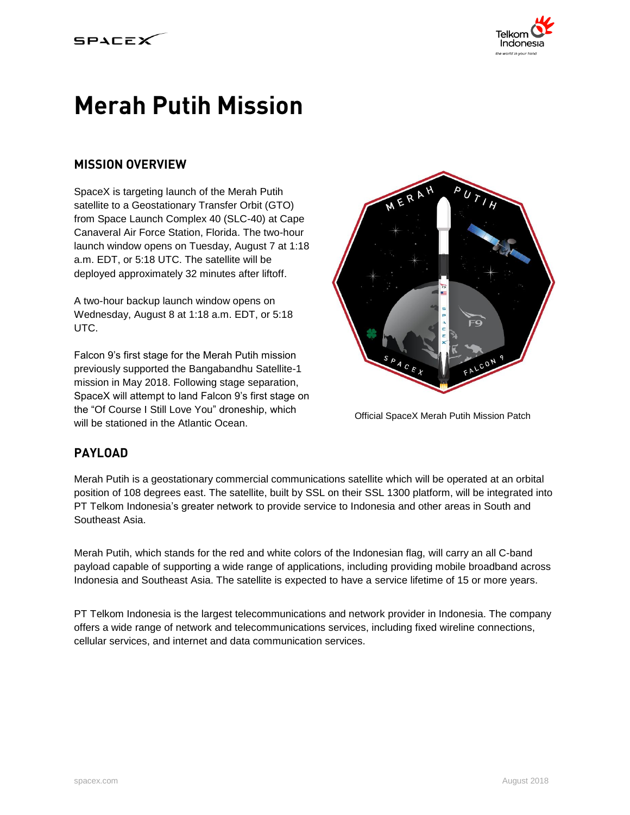

# **Merah Putih Mission**

## **MISSION OVERVIEW**

SpaceX is targeting launch of the Merah Putih satellite to a Geostationary Transfer Orbit (GTO) from Space Launch Complex 40 (SLC-40) at Cape Canaveral Air Force Station, Florida. The two-hour launch window opens on Tuesday, August 7 at 1:18 a.m. EDT, or 5:18 UTC. The satellite will be deployed approximately 32 minutes after liftoff.

A two-hour backup launch window opens on Wednesday, August 8 at 1:18 a.m. EDT, or 5:18 UTC.

Falcon 9's first stage for the Merah Putih mission previously supported the Bangabandhu Satellite-1 mission in May 2018. Following stage separation, SpaceX will attempt to land Falcon 9's first stage on the "Of Course I Still Love You" droneship, which will be stationed in the Atlantic Ocean.



Official SpaceX Merah Putih Mission Patch

## **PAYLOAD**

Merah Putih is a geostationary commercial communications satellite which will be operated at an orbital position of 108 degrees east. The satellite, built by SSL on their SSL 1300 platform, will be integrated into PT Telkom Indonesia's greater network to provide service to Indonesia and other areas in South and Southeast Asia.

Merah Putih, which stands for the red and white colors of the Indonesian flag, will carry an all C-band payload capable of supporting a wide range of applications, including providing mobile broadband across Indonesia and Southeast Asia. The satellite is expected to have a service lifetime of 15 or more years.

PT Telkom Indonesia is the largest telecommunications and network provider in Indonesia. The company offers a wide range of network and telecommunications services, including fixed wireline connections, cellular services, and internet and data communication services.